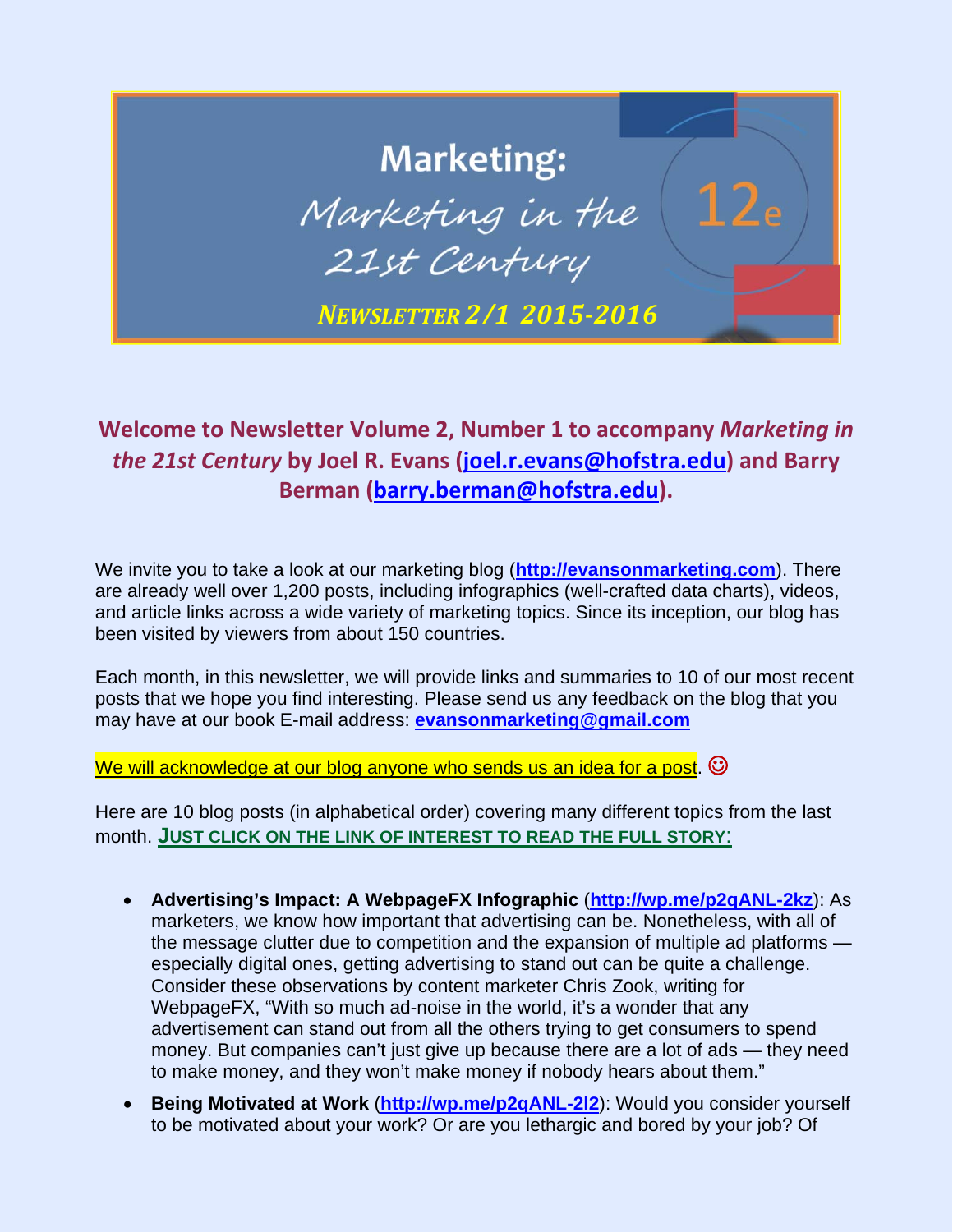## **Marketing:** Marketing in the 21st Century *NEWSLETTER 2/1 2015‐2016*

## **Welcome to Newsletter Volume 2, Number 1 to accompany** *Marketing in the 21st Century* **by Joel R. Evans (joel.r.evans@hofstra.edu) and Barry Berman (barry.berman@hofstra.edu).**

We invite you to take a look at our marketing blog (**http://evansonmarketing.com**). There are already well over 1,200 posts, including infographics (well-crafted data charts), videos, and article links across a wide variety of marketing topics. Since its inception, our blog has been visited by viewers from about 150 countries.

Each month, in this newsletter, we will provide links and summaries to 10 of our most recent posts that we hope you find interesting. Please send us any feedback on the blog that you may have at our book E-mail address: **evansonmarketing@gmail.com**

We will acknowledge at our blog anyone who sends us an idea for a post.  $\odot$ 

Here are 10 blog posts (in alphabetical order) covering many different topics from the last month. **JUST CLICK ON THE LINK OF INTEREST TO READ THE FULL STORY**:

- **Advertising's Impact: A WebpageFX Infographic** (**http://wp.me/p2qANL-2kz**): As marketers, we know how important that advertising can be. Nonetheless, with all of the message clutter due to competition and the expansion of multiple ad platforms especially digital ones, getting advertising to stand out can be quite a challenge. Consider these observations by content marketer Chris Zook, writing for WebpageFX, "With so much ad-noise in the world, it's a wonder that any advertisement can stand out from all the others trying to get consumers to spend money. But companies can't just give up because there are a lot of ads — they need to make money, and they won't make money if nobody hears about them."
- **Being Motivated at Work** (**http://wp.me/p2qANL-2l2**): Would you consider yourself to be motivated about your work? Or are you lethargic and bored by your job? Of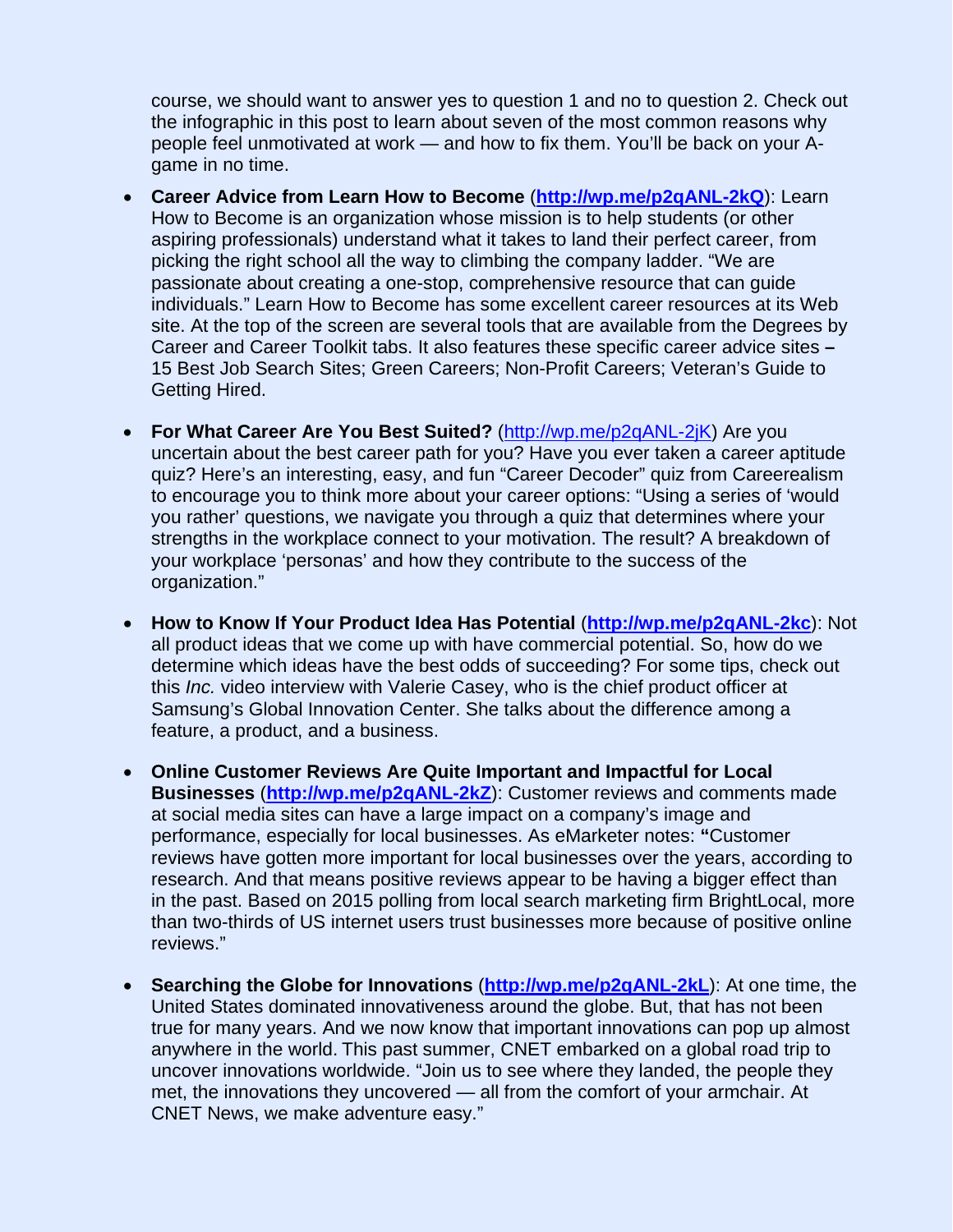course, we should want to answer yes to question 1 and no to question 2. Check out the infographic in this post to learn about seven of the most common reasons why people feel unmotivated at work — and how to fix them. You'll be back on your Agame in no time.

- **Career Advice from Learn How to Become** (**http://wp.me/p2qANL-2kQ**): Learn How to Become is an organization whose mission is to help students (or other aspiring professionals) understand what it takes to land their perfect career, from picking the right school all the way to climbing the company ladder. "We are passionate about creating a one-stop, comprehensive resource that can guide individuals." Learn How to Become has some excellent career resources at its Web site. At the top of the screen are several tools that are available from the Degrees by Career and Career Toolkit tabs. It also features these specific career advice sites **–**  15 Best Job Search Sites; Green Careers; Non-Profit Careers; Veteran's Guide to Getting Hired.
- **For What Career Are You Best Suited?** (http://wp.me/p2qANL-2jK) Are you uncertain about the best career path for you? Have you ever taken a career aptitude quiz? Here's an interesting, easy, and fun "Career Decoder" quiz from Careerealism to encourage you to think more about your career options: "Using a series of 'would you rather' questions, we navigate you through a quiz that determines where your strengths in the workplace connect to your motivation. The result? A breakdown of your workplace 'personas' and how they contribute to the success of the organization."
- **How to Know If Your Product Idea Has Potential** (**http://wp.me/p2qANL-2kc**): Not all product ideas that we come up with have commercial potential. So, how do we determine which ideas have the best odds of succeeding? For some tips, check out this *Inc.* video interview with Valerie Casey, who is the chief product officer at Samsung's Global Innovation Center. She talks about the difference among a feature, a product, and a business.
- **Online Customer Reviews Are Quite Important and Impactful for Local Businesses** (**http://wp.me/p2qANL-2kZ**): Customer reviews and comments made at social media sites can have a large impact on a company's image and performance, especially for local businesses. As eMarketer notes: **"**Customer reviews have gotten more important for local businesses over the years, according to research. And that means positive reviews appear to be having a bigger effect than in the past. Based on 2015 polling from local search marketing firm BrightLocal, more than two-thirds of US internet users trust businesses more because of positive online reviews."
- **Searching the Globe for Innovations** (**http://wp.me/p2qANL-2kL**): At one time, the United States dominated innovativeness around the globe. But, that has not been true for many years. And we now know that important innovations can pop up almost anywhere in the world. This past summer, CNET embarked on a global road trip to uncover innovations worldwide. "Join us to see where they landed, the people they met, the innovations they uncovered — all from the comfort of your armchair. At CNET News, we make adventure easy."